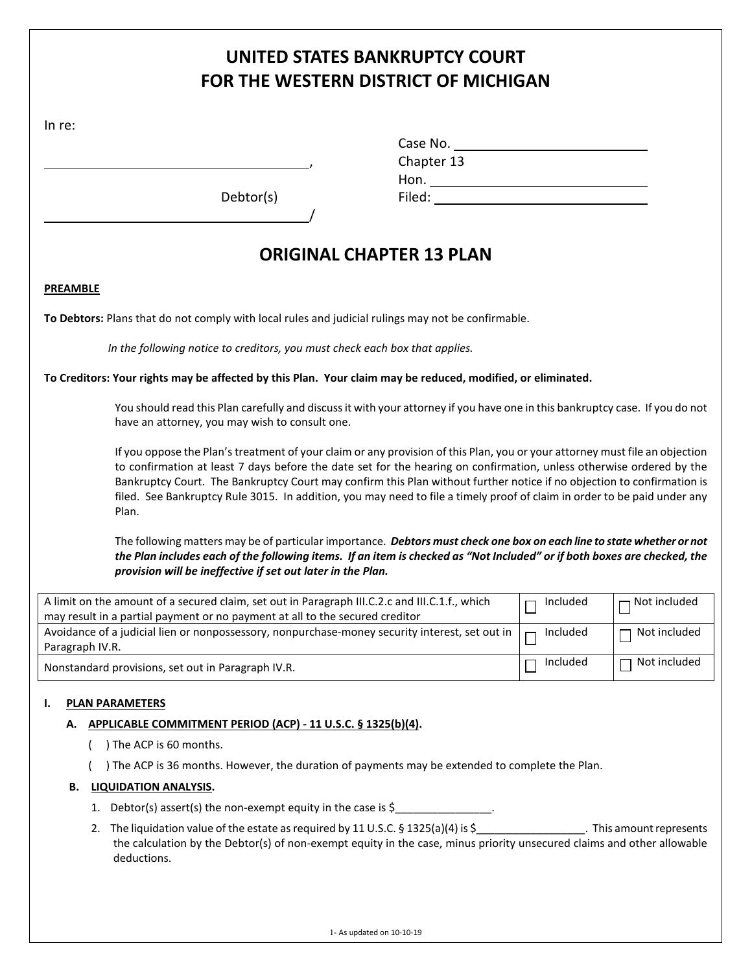# **UNITED STATES BANKRUPTCY COURT FOR THE WESTERN DISTRICT OF MICHIGAN**

In re:

Debtor(s)

| Case No.   |  |  |
|------------|--|--|
| Chapter 13 |  |  |
| Hon.       |  |  |
| Filed:     |  |  |
|            |  |  |

## **ORIGINAL CHAPTER 13 PLAN**

## **PREAMBLE**

**To Debtors:** Plans that do not comply with local rules and judicial rulings may not be confirmable.

*In the following notice to creditors, you must check each box that applies.*

**To Creditors: Your rights may be affected by this Plan. Your claim may be reduced, modified, or eliminated.**

,

/

You should read this Plan carefully and discuss it with your attorney if you have one in this bankruptcy case. If you do not have an attorney, you may wish to consult one.

If you oppose the Plan's treatment of your claim or any provision of this Plan, you or your attorney must file an objection to confirmation at least 7 days before the date set for the hearing on confirmation, unless otherwise ordered by the Bankruptcy Court. The Bankruptcy Court may confirm this Plan without further notice if no objection to confirmation is filed. See Bankruptcy Rule 3015. In addition, you may need to file a timely proof of claim in order to be paid under any Plan.

The following matters may be of particular importance. *Debtors must check one box on each line to state whether or not the Plan includes each of the following items. If an item is checked as "Not Included" or if both boxes are checked, the provision will be ineffective if set out later in the Plan.*

| A limit on the amount of a secured claim, set out in Paragraph III.C.2.c and III.C.1.f., which                 | $\Box$ Included | $\Box$ Not included |
|----------------------------------------------------------------------------------------------------------------|-----------------|---------------------|
| may result in a partial payment or no payment at all to the secured creditor                                   |                 |                     |
| Avoidance of a judicial lien or nonpossessory, nonpurchase-money security interest, set out in $\Box$ Included |                 | $\Box$ Not included |
| Paragraph IV.R.                                                                                                |                 |                     |
| Nonstandard provisions, set out in Paragraph IV.R.                                                             | $\Box$ Included | $\Box$ Not included |

#### **I. PLAN PARAMETERS**

## **A. APPLICABLE COMMITMENT PERIOD (ACP) - 11 U.S.C. § 1325(b)(4).**

- ( ) The ACP is 60 months.
- ( ) The ACP is 36 months. However, the duration of payments may be extended to complete the Plan.

## **B. LIQUIDATION ANALYSIS.**

- 1. Debtor(s) assert(s) the non-exempt equity in the case is  $\zeta$
- 2. The liquidation value of the estate as required by 11 U.S.C. § 1325(a)(4) is \$\_\_\_\_\_\_\_\_\_\_\_\_\_\_\_\_\_. This amount represents the calculation by the Debtor(s) of non-exempt equity in the case, minus priority unsecured claims and other allowable deductions.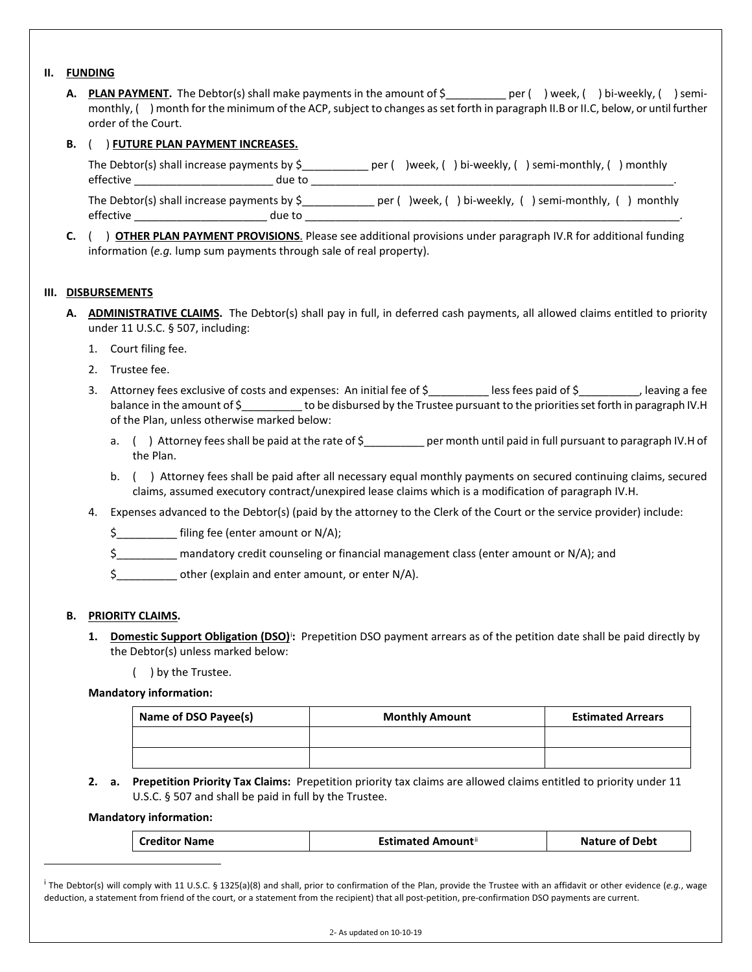#### **II. FUNDING**

**A. PLAN PAYMENT.** The Debtor(s) shall make payments in the amount of \$\_\_\_\_\_\_\_\_\_\_ per ( ) week, ( ) bi-weekly, ( )semimonthly, ( ) month for the minimum of the ACP, subject to changes as set forth in paragraph II.B or II.C, below, or until further order of the Court.

#### **B.** ( ) **FUTURE PLAN PAYMENT INCREASES.**

The Debtor(s) shall increase payments by \$ \_\_\_\_\_\_\_\_\_ per ( )week, ( ) bi-weekly, ( ) semi-monthly, ( ) monthly effective effective  $\sim$  due to  $\sim$ 

The Debtor(s) shall increase payments by \$\_\_\_\_\_\_\_\_\_\_\_\_\_\_ per ( )week, ( ) bi-weekly, ( ) semi-monthly, ( ) monthly effective \_\_\_\_\_\_\_\_\_\_\_\_\_\_\_\_\_\_\_\_\_\_ due to \_\_\_\_\_\_\_\_\_\_\_\_\_\_\_\_\_\_\_\_\_\_\_\_\_\_\_\_\_\_\_\_\_\_\_\_\_\_\_\_\_\_\_\_\_\_\_\_\_\_\_\_\_\_\_\_\_\_\_\_\_\_.

**C.** ( ) **OTHER PLAN PAYMENT PROVISIONS**. Please see additional provisions under paragraph IV.R for additional funding information (*e.g.* lump sum payments through sale of real property).

#### **III. DISBURSEMENTS**

- **A. ADMINISTRATIVE CLAIMS.** The Debtor(s) shall pay in full, in deferred cash payments, all allowed claims entitled to priority under 11 U.S.C. § 507, including:
	- 1. Court filing fee.
	- 2. Trustee fee.
	- 3. Attorney fees exclusive of costs and expenses: An initial fee of  $\zeta$  less fees paid of  $\zeta$ , leaving a fee balance in the amount of \$ to be disbursed by the Trustee pursuant to the priorities set forth in paragraph IV.H of the Plan, unless otherwise marked below:
		- a. () Attorney fees shall be paid at the rate of \$ \_\_\_\_\_\_\_ per month until paid in full pursuant to paragraph IV.H of the Plan.
		- b. ( ) Attorney fees shall be paid after all necessary equal monthly payments on secured continuing claims, secured claims, assumed executory contract/unexpired lease claims which is a modification of paragraph IV.H.
	- 4. Expenses advanced to the Debtor(s) (paid by the attorney to the Clerk of the Court or the service provider) include:

\$\_\_\_\_\_\_\_\_\_\_ filing fee (enter amount or N/A);

- \$\_\_\_\_\_\_\_\_\_\_ mandatory credit counseling or financial management class (enter amount or N/A); and
- \$\_\_\_\_\_\_\_\_\_\_ other (explain and enter amount, or enter N/A).

#### **B. PRIORITY CLAIMS.**

- **1. Domestic Support Obligation (DSO)**[i](#page-1-0) **:** Prepetition DSO payment arrears as of the petition date shall be paid directly by the Debtor(s) unless marked below:
	- ( ) by the Trustee.

#### **Mandatory information:**

| Name of DSO Payee(s) | <b>Monthly Amount</b> | <b>Estimated Arrears</b> |
|----------------------|-----------------------|--------------------------|
|                      |                       |                          |
|                      |                       |                          |

**2. a. Prepetition Priority Tax Claims:** Prepetition priority tax claims are allowed claims entitled to priority under 11 U.S.C. § 507 and shall be paid in full by the Trustee.

#### **Mandatory information:**

<span id="page-1-1"></span> $\overline{a}$ 

| <b>Creditor Name</b> | <b>Estimated Amount</b> " | <b>Nature of Debt</b> |
|----------------------|---------------------------|-----------------------|
|                      |                           |                       |

<span id="page-1-0"></span><sup>1</sup> The Debtor(s) will comply with 11 U.S.C. § 1325(a)(8) and shall, prior to confirmation of the Plan, provide the Trustee with an affidavit or other evidence (e.g., wage deduction, a statement from friend of the court, or a statement from the recipient) that all post-petition, pre-confirmation DSO payments are current.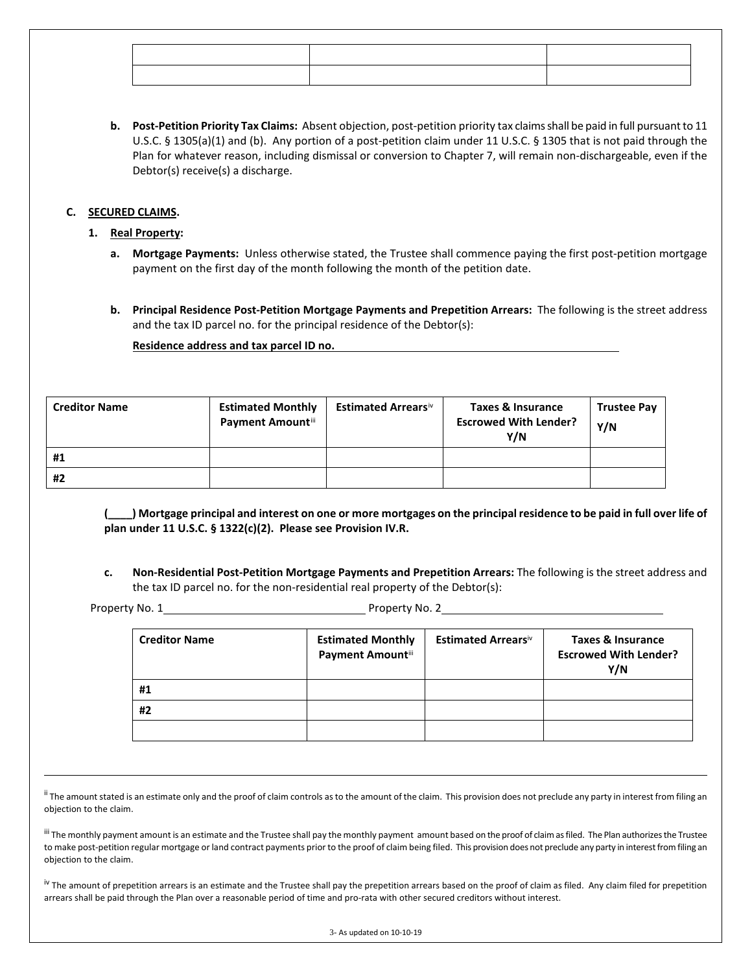| the contract of the contract of the contract of the contract of the contract of the contract of the contract of |  |
|-----------------------------------------------------------------------------------------------------------------|--|
|                                                                                                                 |  |
|                                                                                                                 |  |
|                                                                                                                 |  |
|                                                                                                                 |  |

**b. Post-Petition Priority Tax Claims:** Absent objection, post-petition priority tax claims shall be paid in full pursuant to 11 U.S.C. § 1305(a)(1) and (b). Any portion of a post-petition claim under 11 U.S.C. § 1305 that is not paid through the Plan for whatever reason, including dismissal or conversion to Chapter 7, will remain non-dischargeable, even if the Debtor(s) receive(s) a discharge.

## **C. SECURED CLAIMS.**

 $\overline{a}$ 

- **1. Real Property:**
	- **a. Mortgage Payments:** Unless otherwise stated, the Trustee shall commence paying the first post-petition mortgage payment on the first day of the month following the month of the petition date.
	- **b. Principal Residence Post-Petition Mortgage Payments and Prepetition Arrears:** The following is the street address and the tax ID parcel no. for the principal residence of the Debtor(s):

**Residence address and tax parcel ID no.**

| <b>Creditor Name</b> | <b>Estimated Monthly</b><br>Payment Amountiii | <b>Estimated Arrears</b> <sup>iv</sup> | Taxes & Insurance<br><b>Escrowed With Lender?</b><br>Y/N | <b>Trustee Pay</b><br>Y/N |
|----------------------|-----------------------------------------------|----------------------------------------|----------------------------------------------------------|---------------------------|
| #1                   |                                               |                                        |                                                          |                           |
| #2                   |                                               |                                        |                                                          |                           |

**(\_\_\_\_) Mortgage principal and interest on one or more mortgages on the principal residence to be paid in full over life of plan under 11 U.S.C. § 1322(c)(2). Please see Provision IV.R.**

**c. Non-Residential Post-Petition Mortgage Payments and Prepetition Arrears:** The following is the street address and the tax ID parcel no. for the non-residential real property of the Debtor(s):

Property No. 1 Property No. 2

**Creditor Name Estimated Monthly Payment Amount**iii **Estimated Arrears**iv **Taxes & Insurance Escrowed With Lender? Y/N #1 #2**

<sup>ii</sup> The amount stated is an estimate only and the proof of claim controls as to the amount of the claim. This provision does not preclude any party in interest from filing an objection to the claim.

<span id="page-2-0"></span><sup>iii</sup> The monthly payment amount is an estimate and the Trustee shall pay the monthly payment amount based on the proof of claim as filed. The Plan authorizes the Trustee to make post-petition regular mortgage or land contract payments prior to the proof of claim being filed. This provision does not preclude any party in interest from filing an objection to the claim.

<span id="page-2-1"></span><sup>iv</sup> The amount of prepetition arrears is an estimate and the Trustee shall pay the prepetition arrears based on the proof of claim as filed. Any claim filed for prepetition arrears shall be paid through the Plan over a reasonable period of time and pro-rata with other secured creditors without interest.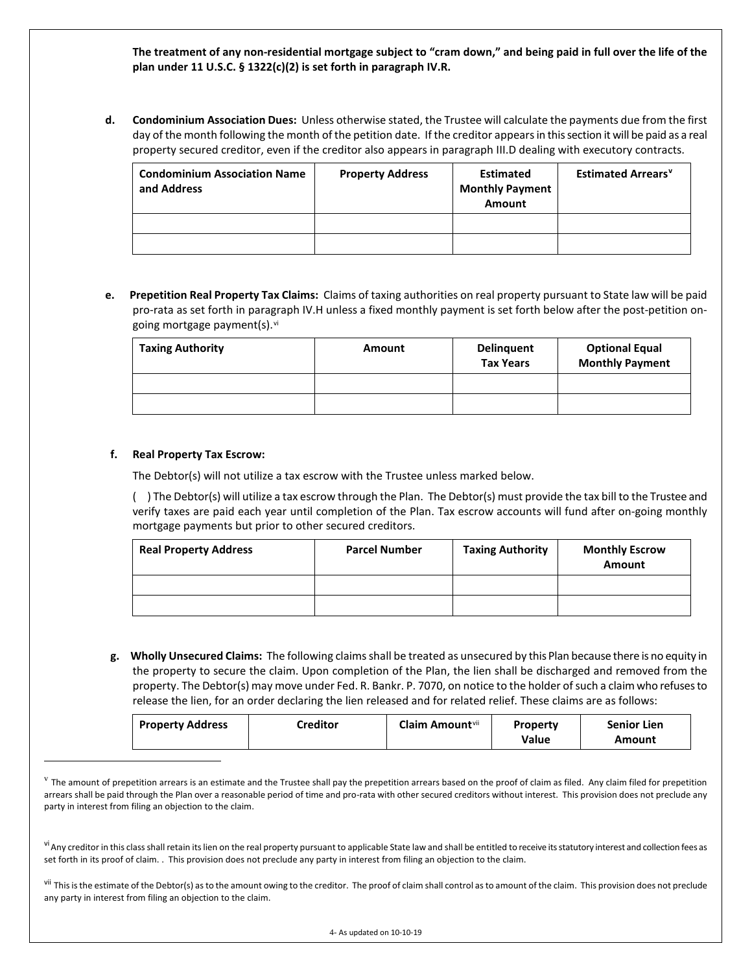**The treatment of any non-residential mortgage subject to "cram down," and being paid in full over the life of the plan under 11 U.S.C. § 1322(c)(2) is set forth in paragraph IV.R.**

**d. Condominium Association Dues:** Unless otherwise stated, the Trustee will calculate the payments due from the first day of the month following the month of the petition date. If the creditor appears in this section it will be paid as a real property secured creditor, even if the creditor also appears in paragraph III.D dealing with executory contracts.

| <b>Condominium Association Name</b><br>and Address | <b>Property Address</b> | <b>Estimated</b><br><b>Monthly Payment</b><br>Amount | Estimated Arrears <sup>v</sup> |
|----------------------------------------------------|-------------------------|------------------------------------------------------|--------------------------------|
|                                                    |                         |                                                      |                                |
|                                                    |                         |                                                      |                                |

**e. Prepetition Real Property Tax Claims:** Claims of taxing authorities on real property pursuant to State law will be paid pro-rata as set forth in paragraph IV.H unless a fixed monthly payment is set forth below after the post-petition ongoing mortgage payment(s).<sup>[vi](#page-3-1)</sup>

| <b>Taxing Authority</b> | Amount | <b>Delinguent</b><br><b>Tax Years</b> | <b>Optional Equal</b><br><b>Monthly Payment</b> |
|-------------------------|--------|---------------------------------------|-------------------------------------------------|
|                         |        |                                       |                                                 |
|                         |        |                                       |                                                 |

### **f. Real Property Tax Escrow:**

 $\overline{a}$ 

The Debtor(s) will not utilize a tax escrow with the Trustee unless marked below.

( ) The Debtor(s) will utilize a tax escrow through the Plan. The Debtor(s) must provide the tax bill to the Trustee and verify taxes are paid each year until completion of the Plan. Tax escrow accounts will fund after on-going monthly mortgage payments but prior to other secured creditors.

| <b>Real Property Address</b> | <b>Parcel Number</b> | <b>Taxing Authority</b> | <b>Monthly Escrow</b><br>Amount |
|------------------------------|----------------------|-------------------------|---------------------------------|
|                              |                      |                         |                                 |
|                              |                      |                         |                                 |

**g. Wholly Unsecured Claims:** The following claims shall be treated as unsecured by this Plan because there is no equity in the property to secure the claim. Upon completion of the Plan, the lien shall be discharged and removed from the property. The Debtor(s) may move under Fed. R. Bankr. P. 7070, on notice to the holder of such a claim who refuses to release the lien, for an order declaring the lien released and for related relief. These claims are as follows:

|  |  | <b>Property Address</b> | <b>Creditor</b> | <b>Claim Amountvii</b> | <b>Property</b><br>Value | <b>Senior Lien</b><br>Amount |
|--|--|-------------------------|-----------------|------------------------|--------------------------|------------------------------|
|--|--|-------------------------|-----------------|------------------------|--------------------------|------------------------------|

<span id="page-3-0"></span> $V$  The amount of prepetition arrears is an estimate and the Trustee shall pay the prepetition arrears based on the proof of claim as filed. Any claim filed for prepetition arrears shall be paid through the Plan over a reasonable period of time and pro-rata with other secured creditors without interest. This provision does not preclude any party in interest from filing an objection to the claim.

<span id="page-3-1"></span><sup>vi</sup> Any creditor in this class shall retain its lien on the real property pursuant to applicable State law and shall be entitled to receive its statutory interest and collection fees as set forth in its proof of claim. . This provision does not preclude any party in interest from filing an objection to the claim.

<span id="page-3-2"></span><sup>vii</sup> This is the estimate of the Debtor(s) as to the amount owing to the creditor. The proof of claim shall control as to amount of the claim. This provision does not preclude any party in interest from filing an objection to the claim.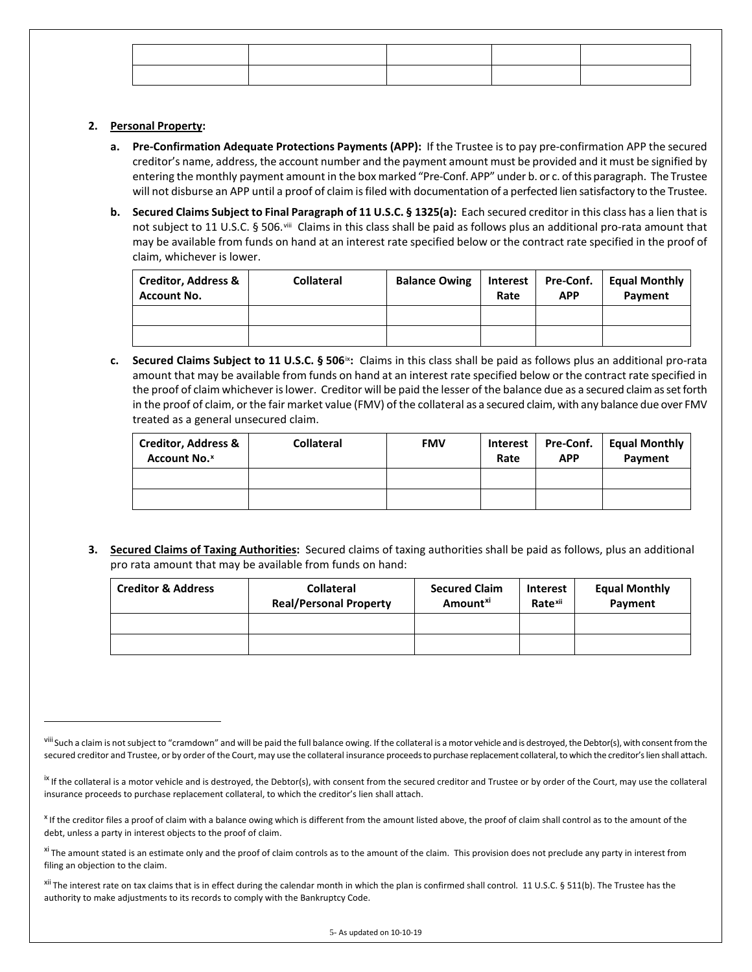## **2. Personal Property:**

 $\overline{a}$ 

- **a. Pre-Confirmation Adequate Protections Payments (APP):** If the Trustee is to pay pre-confirmation APP the secured creditor's name, address, the account number and the payment amount must be provided and it must be signified by entering the monthly payment amount in the box marked "Pre-Conf. APP" under b. or c. of this paragraph. The Trustee will not disburse an APP until a proof of claim is filed with documentation of a perfected lien satisfactory to the Trustee.
- **b. Secured Claims Subject to Final Paragraph of 11 U.S.C. § 1325(a):** Each secured creditor in this class has a lien that is not subject to 11 U.S.C. § 506.<sup>viii</sup> Claims in this class shall be paid as follows plus an additional pro-rata amount that may be available from funds on hand at an interest rate specified below or the contract rate specified in the proof of claim, whichever is lower.

| <b>Creditor, Address &amp;</b><br><b>Account No.</b> | <b>Collateral</b> | <b>Balance Owing</b> | Interest<br>Rate | Pre-Conf.<br><b>APP</b> | Equal Monthly<br>Payment |
|------------------------------------------------------|-------------------|----------------------|------------------|-------------------------|--------------------------|
|                                                      |                   |                      |                  |                         |                          |
|                                                      |                   |                      |                  |                         |                          |

**c. Secured Claims Subject to 11 U.S.C. § 506**[ix](#page-4-1)**:** Claims in this class shall be paid as follows plus an additional pro-rata amount that may be available from funds on hand at an interest rate specified below or the contract rate specified in the proof of claim whichever is lower. Creditor will be paid the lesser of the balance due as a secured claim as set forth in the proof of claim, or the fair market value (FMV) of the collateral as a secured claim, with any balance due over FMV treated as a general unsecured claim.

| <b>Creditor, Address &amp;</b><br><b>Account No.</b> <sup>x</sup> | <b>Collateral</b> | <b>FMV</b> | <b>Interest</b><br>Rate | Pre-Conf.<br><b>APP</b> | Equal Monthly<br>Payment |
|-------------------------------------------------------------------|-------------------|------------|-------------------------|-------------------------|--------------------------|
|                                                                   |                   |            |                         |                         |                          |
|                                                                   |                   |            |                         |                         |                          |

**3. Secured Claims of Taxing Authorities:** Secured claims of taxing authorities shall be paid as follows, plus an additional pro rata amount that may be available from funds on hand:

| <b>Creditor &amp; Address</b> | <b>Collateral</b><br><b>Real/Personal Property</b> | <b>Secured Claim</b><br>Amount <sup>xi</sup> | <b>Interest</b><br><b>Rate</b> <sup>xii</sup> | <b>Equal Monthly</b><br>Payment |
|-------------------------------|----------------------------------------------------|----------------------------------------------|-----------------------------------------------|---------------------------------|
|                               |                                                    |                                              |                                               |                                 |
|                               |                                                    |                                              |                                               |                                 |

<span id="page-4-0"></span>viii Such a claim is not subject to "cramdown" and will be paid the full balance owing. If the collateral is a motor vehicle and is destroyed, the Debtor(s), with consent from the secured creditor and Trustee, or by order of the Court, may use the collateral insurance proceeds to purchase replacement collateral, to which the creditor's lien shall attach.

<span id="page-4-1"></span>ix If the collateral is a motor vehicle and is destroyed, the Debtor(s), with consent from the secured creditor and Trustee or by order of the Court, may use the collateral insurance proceeds to purchase replacement collateral, to which the creditor's lien shall attach.

<span id="page-4-2"></span><sup>&</sup>lt;sup>x</sup> If the creditor files a proof of claim with a balance owing which is different from the amount listed above, the proof of claim shall control as to the amount of the debt, unless a party in interest objects to the proof of claim.

<span id="page-4-3"></span><sup>&</sup>lt;sup>xi</sup> The amount stated is an estimate only and the proof of claim controls as to the amount of the claim. This provision does not preclude any party in interest from filing an objection to the claim.

<span id="page-4-4"></span><sup>&</sup>lt;sup>xii</sup> The interest rate on tax claims that is in effect during the calendar month in which the plan is confirmed shall control. 11 U.S.C. § 511(b). The Trustee has the authority to make adjustments to its records to comply with the Bankruptcy Code.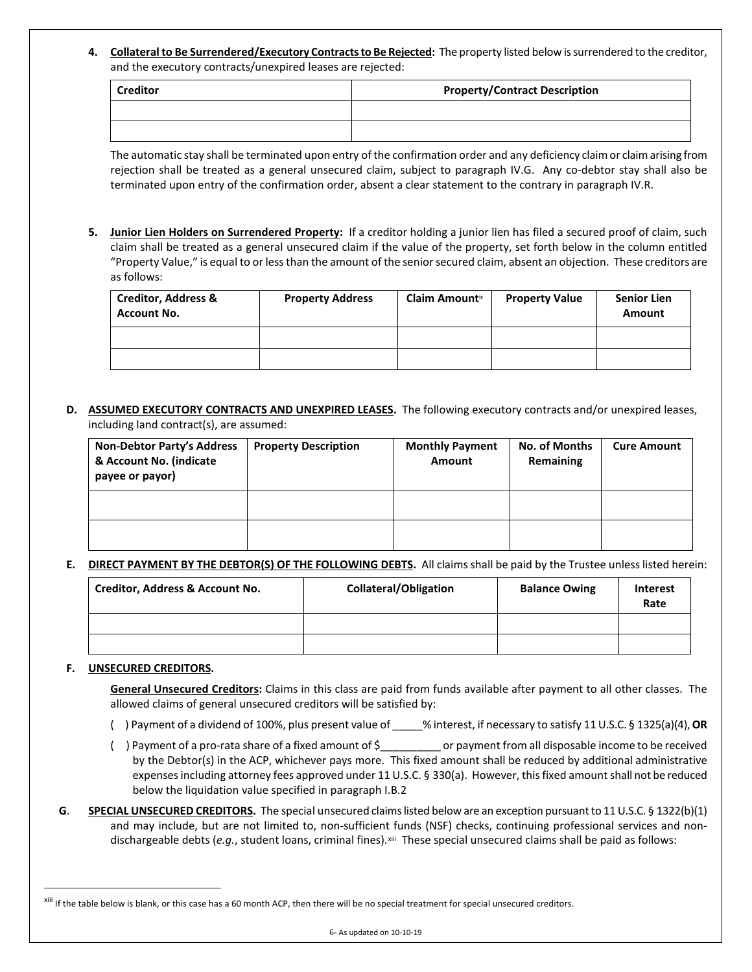**4. Collateral to Be Surrendered/Executory Contracts to Be Rejected:** The property listed below is surrendered to the creditor, and the executory contracts/unexpired leases are rejected:

| <b>Creditor</b> | <b>Property/Contract Description</b> |
|-----------------|--------------------------------------|
|                 |                                      |
|                 |                                      |

The automatic stay shall be terminated upon entry of the confirmation order and any deficiency claim or claim arising from rejection shall be treated as a general unsecured claim, subject to paragraph IV.G. Any co-debtor stay shall also be terminated upon entry of the confirmation order, absent a clear statement to the contrary in paragraph IV.R.

**5. Junior Lien Holders on Surrendered Property:** If a creditor holding a junior lien has filed a secured proof of claim, such claim shall be treated as a general unsecured claim if the value of the property, set forth below in the column entitled "Property Value," is equal to or less than the amount of the senior secured claim, absent an objection. These creditors are as follows:

| <b>Creditor, Address &amp;</b><br><b>Account No.</b> | <b>Property Address</b> | Claim Amountix | <b>Property Value</b> | <b>Senior Lien</b><br>Amount |
|------------------------------------------------------|-------------------------|----------------|-----------------------|------------------------------|
|                                                      |                         |                |                       |                              |
|                                                      |                         |                |                       |                              |

**D. ASSUMED EXECUTORY CONTRACTS AND UNEXPIRED LEASES.** The following executory contracts and/or unexpired leases, including land contract(s), are assumed:

| <b>Non-Debtor Party's Address</b><br>& Account No. (indicate<br>payee or payor) | <b>Property Description</b> | <b>Monthly Payment</b><br>Amount | No. of Months<br>Remaining | <b>Cure Amount</b> |
|---------------------------------------------------------------------------------|-----------------------------|----------------------------------|----------------------------|--------------------|
|                                                                                 |                             |                                  |                            |                    |
|                                                                                 |                             |                                  |                            |                    |

**E. DIRECT PAYMENT BY THE DEBTOR(S) OF THE FOLLOWING DEBTS.** All claims shall be paid by the Trustee unless listed herein:

| <b>Creditor, Address &amp; Account No.</b> | <b>Collateral/Obligation</b> | <b>Balance Owing</b> | <b>Interest</b><br>Rate |
|--------------------------------------------|------------------------------|----------------------|-------------------------|
|                                            |                              |                      |                         |
|                                            |                              |                      |                         |

## **F. UNSECURED CREDITORS.**

 $\overline{a}$ 

**General Unsecured Creditors:** Claims in this class are paid from funds available after payment to all other classes. The allowed claims of general unsecured creditors will be satisfied by:

- ( ) Payment of a dividend of 100%, plus present value of \_\_\_\_\_% interest, if necessary to satisfy 11 U.S.C. § 1325(a)(4), **OR**
- ( ) Payment of a pro-rata share of a fixed amount of \$\_\_\_\_\_\_\_\_\_\_ or payment from all disposable income to be received by the Debtor(s) in the ACP, whichever pays more. This fixed amount shall be reduced by additional administrative expenses including attorney fees approved under 11 U.S.C. § 330(a). However, thisfixed amount shall not be reduced below the liquidation value specified in paragraph I.B.2
- **G**. **SPECIAL UNSECURED CREDITORS.** The special unsecured claimslisted below are an exception pursuant to 11 U.S.C. § 1322(b)(1) and may include, but are not limited to, non-sufficient funds (NSF) checks, continuing professional services and nondischargeable debts (e.g., student loans, criminal fines).<sup>[xiii](#page-5-0)</sup> These special unsecured claims shall be paid as follows:

<span id="page-5-0"></span><sup>&</sup>lt;sup>xiii</sup> If the table below is blank, or this case has a 60 month ACP, then there will be no special treatment for special unsecured creditors.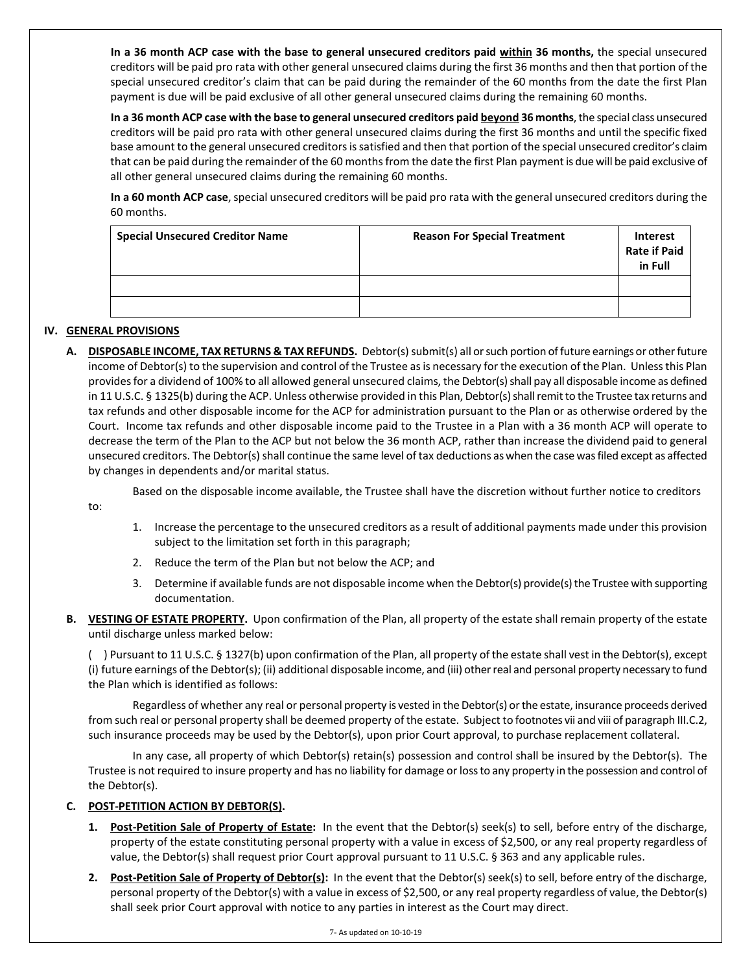**In a 36 month ACP case with the base to general unsecured creditors paid within 36 months,** the special unsecured creditors will be paid pro rata with other general unsecured claims during the first 36 months and then that portion of the special unsecured creditor's claim that can be paid during the remainder of the 60 months from the date the first Plan payment is due will be paid exclusive of all other general unsecured claims during the remaining 60 months.

 **In a 36 month ACP case with the base to general unsecured creditors paid beyond 36 months**, the special class unsecured creditors will be paid pro rata with other general unsecured claims during the first 36 months and until the specific fixed base amount to the general unsecured creditors is satisfied and then that portion of the special unsecured creditor's claim that can be paid during the remainder of the 60 monthsfrom the date the first Plan payment is due will be paid exclusive of all other general unsecured claims during the remaining 60 months.

 **In a 60 month ACP case**, special unsecured creditors will be paid pro rata with the general unsecured creditors during the 60 months.

| <b>Special Unsecured Creditor Name</b> | <b>Reason For Special Treatment</b> | <b>Interest</b><br><b>Rate if Paid</b><br>in Full |
|----------------------------------------|-------------------------------------|---------------------------------------------------|
|                                        |                                     |                                                   |
|                                        |                                     |                                                   |

## **IV. GENERAL PROVISIONS**

**A. DISPOSABLE INCOME, TAX RETURNS & TAX REFUNDS.** Debtor(s)submit(s) all or such portion of future earnings or other future income of Debtor(s) to the supervision and control of the Trustee as is necessary for the execution of the Plan. Unless this Plan provides for a dividend of 100% to all allowed general unsecured claims, the Debtor(s) shall pay all disposable income as defined in 11 U.S.C. § 1325(b) during the ACP. Unless otherwise provided in this Plan, Debtor(s) shall remit to the Trustee tax returns and tax refunds and other disposable income for the ACP for administration pursuant to the Plan or as otherwise ordered by the Court. Income tax refunds and other disposable income paid to the Trustee in a Plan with a 36 month ACP will operate to decrease the term of the Plan to the ACP but not below the 36 month ACP, rather than increase the dividend paid to general unsecured creditors. The Debtor(s) shall continue the same level of tax deductions as when the case was filed except as affected by changes in dependents and/or marital status.

Based on the disposable income available, the Trustee shall have the discretion without further notice to creditors

to:

- 1. Increase the percentage to the unsecured creditors as a result of additional payments made under this provision subject to the limitation set forth in this paragraph;
- 2. Reduce the term of the Plan but not below the ACP; and
- 3. Determine if available funds are not disposable income when the Debtor(s) provide(s)the Trustee with supporting documentation.
- **B. VESTING OF ESTATE PROPERTY.** Upon confirmation of the Plan, all property of the estate shall remain property of the estate until discharge unless marked below:

( ) Pursuant to 11 U.S.C. § 1327(b) upon confirmation of the Plan, all property of the estate shall vest in the Debtor(s), except (i) future earnings of the Debtor(s); (ii) additional disposable income, and (iii) otherreal and personal property necessary to fund the Plan which is identified as follows:

Regardless of whether any real or personal property is vested in the Debtor(s) or the estate, insurance proceeds derived from such real or personal property shall be deemed property of the estate. Subject to footnotes vii and viii of paragraph III.C.2, such insurance proceeds may be used by the Debtor(s), upon prior Court approval, to purchase replacement collateral.

In any case, all property of which Debtor(s) retain(s) possession and control shall be insured by the Debtor(s). The Trustee is not required to insure property and has no liability for damage or loss to any property in the possession and control of the Debtor(s).

## **C. POST-PETITION ACTION BY DEBTOR(S).**

- **1. Post-Petition Sale of Property of Estate:** In the event that the Debtor(s) seek(s) to sell, before entry of the discharge, property of the estate constituting personal property with a value in excess of \$2,500, or any real property regardless of value, the Debtor(s) shall request prior Court approval pursuant to 11 U.S.C. § 363 and any applicable rules.
- **2. Post-Petition Sale of Property of Debtor(s):** In the event that the Debtor(s) seek(s) to sell, before entry of the discharge, personal property of the Debtor(s) with a value in excess of \$2,500, or any real property regardless of value, the Debtor(s) shall seek prior Court approval with notice to any parties in interest as the Court may direct.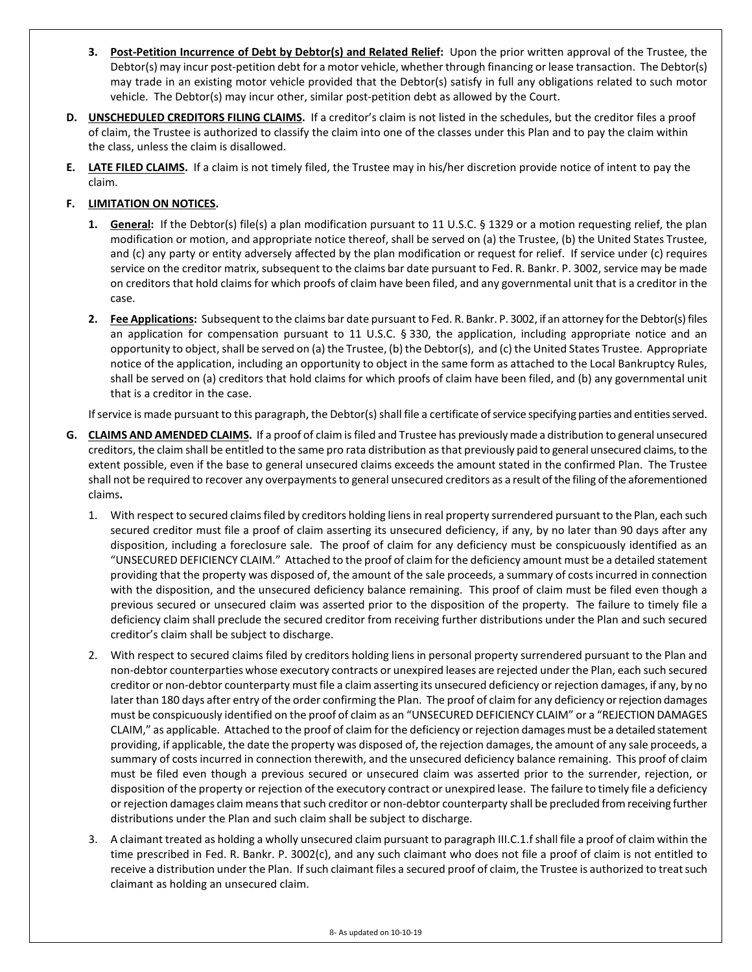- **3. Post-Petition Incurrence of Debt by Debtor(s) and Related Relief:** Upon the prior written approval of the Trustee, the Debtor(s) may incur post-petition debt for a motor vehicle, whether through financing or lease transaction. The Debtor(s) may trade in an existing motor vehicle provided that the Debtor(s) satisfy in full any obligations related to such motor vehicle. The Debtor(s) may incur other, similar post-petition debt as allowed by the Court.
- **D. UNSCHEDULED CREDITORS FILING CLAIMS.** If a creditor's claim is not listed in the schedules, but the creditor files a proof of claim, the Trustee is authorized to classify the claim into one of the classes under this Plan and to pay the claim within the class, unless the claim is disallowed.
- **E. LATE FILED CLAIMS.** If a claim is not timely filed, the Trustee may in his/her discretion provide notice of intent to pay the claim.

## **F. LIMITATION ON NOTICES.**

- **1.** General: If the Debtor(s) file(s) a plan modification pursuant to 11 U.S.C. § 1329 or a motion requesting relief, the plan modification or motion, and appropriate notice thereof, shall be served on (a) the Trustee, (b) the United States Trustee, and (c) any party or entity adversely affected by the plan modification or request for relief. If service under (c) requires service on the creditor matrix, subsequent to the claims bar date pursuant to Fed. R. Bankr. P. 3002, service may be made on creditors that hold claims for which proofs of claim have been filed, and any governmental unit that is a creditor in the case.
- **2. Fee Applications:** Subsequent to the claims bar date pursuant to Fed. R. Bankr. P. 3002, if an attorney for the Debtor(s) files an application for compensation pursuant to 11 U.S.C. § 330, the application, including appropriate notice and an opportunity to object, shall be served on (a) the Trustee, (b) the Debtor(s), and (c) the United States Trustee. Appropriate notice of the application, including an opportunity to object in the same form as attached to the Local Bankruptcy Rules, shall be served on (a) creditors that hold claims for which proofs of claim have been filed, and (b) any governmental unit that is a creditor in the case.

If service is made pursuant to this paragraph, the Debtor(s) shall file a certificate of service specifying parties and entities served.

- **G. CLAIMS AND AMENDED CLAIMS.** If a proof of claim is filed and Trustee has previously made a distribution to general unsecured creditors, the claim shall be entitled to the same pro rata distribution as that previously paid to general unsecured claims, to the extent possible, even if the base to general unsecured claims exceeds the amount stated in the confirmed Plan. The Trustee shall not be required to recover any overpayments to general unsecured creditors as a result of the filing of the aforementioned claims**.**
	- 1. With respect to secured claims filed by creditors holding liens in real property surrendered pursuant to the Plan, each such secured creditor must file a proof of claim asserting its unsecured deficiency, if any, by no later than 90 days after any disposition, including a foreclosure sale. The proof of claim for any deficiency must be conspicuously identified as an "UNSECURED DEFICIENCY CLAIM." Attached to the proof of claim for the deficiency amount must be a detailed statement providing that the property was disposed of, the amount of the sale proceeds, a summary of costsincurred in connection with the disposition, and the unsecured deficiency balance remaining. This proof of claim must be filed even though a previous secured or unsecured claim was asserted prior to the disposition of the property. The failure to timely file a deficiency claim shall preclude the secured creditor from receiving further distributions under the Plan and such secured creditor's claim shall be subject to discharge.
	- 2. With respect to secured claims filed by creditors holding liens in personal property surrendered pursuant to the Plan and non-debtor counterparties whose executory contracts or unexpired leases are rejected under the Plan, each such secured creditor or non-debtor counterparty must file a claim asserting its unsecured deficiency or rejection damages, if any, by no later than 180 days after entry of the order confirming the Plan. The proof of claim for any deficiency or rejection damages must be conspicuously identified on the proof of claim as an "UNSECURED DEFICIENCY CLAIM" or a "REJECTION DAMAGES CLAIM," as applicable. Attached to the proof of claim for the deficiency or rejection damages must be a detailed statement providing, if applicable, the date the property was disposed of, the rejection damages, the amount of any sale proceeds, a summary of costs incurred in connection therewith, and the unsecured deficiency balance remaining. This proof of claim must be filed even though a previous secured or unsecured claim was asserted prior to the surrender, rejection, or disposition of the property or rejection of the executory contract or unexpired lease. The failure to timely file a deficiency or rejection damages claim means that such creditor or non-debtor counterparty shall be precluded from receiving further distributions under the Plan and such claim shall be subject to discharge.
	- 3. A claimant treated as holding a wholly unsecured claim pursuant to paragraph III.C.1.f shall file a proof of claim within the time prescribed in Fed. R. Bankr. P. 3002(c), and any such claimant who does not file a proof of claim is not entitled to receive a distribution under the Plan. If such claimant files a secured proof of claim, the Trustee is authorized to treat such claimant as holding an unsecured claim.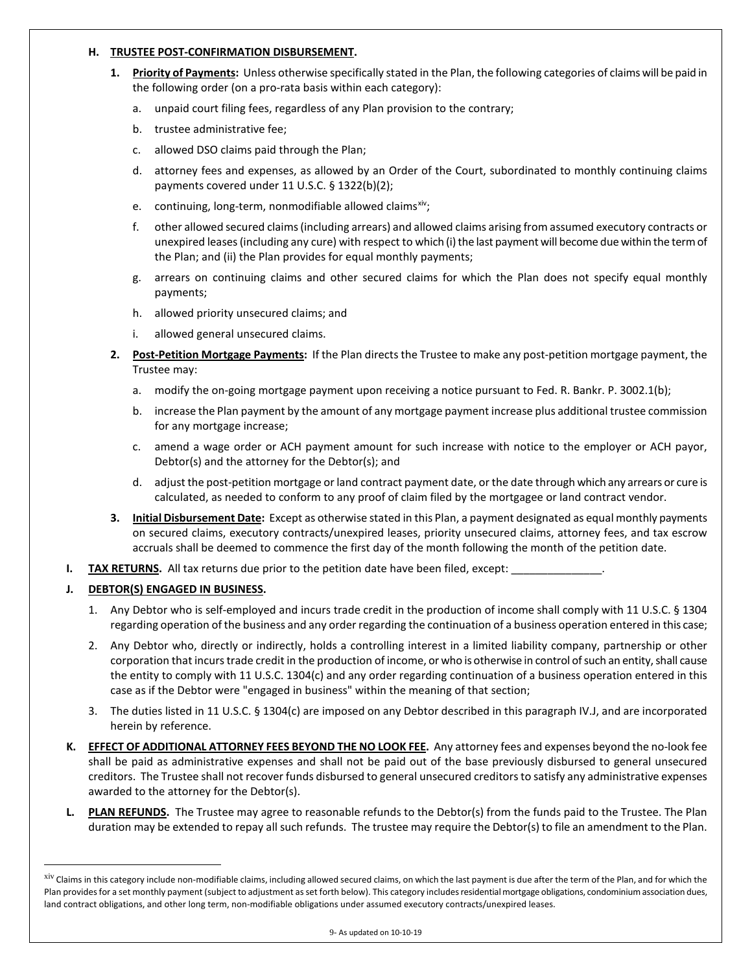## **H. TRUSTEE POST-CONFIRMATION DISBURSEMENT.**

- **1. Priority of Payments:** Unless otherwise specifically stated in the Plan, the following categories of claims will be paid in the following order (on a pro-rata basis within each category):
	- a. unpaid court filing fees, regardless of any Plan provision to the contrary;
	- b. trustee administrative fee;
	- c. allowed DSO claims paid through the Plan;
	- d. attorney fees and expenses, as allowed by an Order of the Court, subordinated to monthly continuing claims payments covered under 11 U.S.C. § 1322(b)(2);
	- e. continuing, long-term, nonmodifiable allowed claims<sup>xiv</sup>;
	- f. other allowed secured claims(including arrears) and allowed claims arising from assumed executory contracts or unexpired leases(including any cure) with respect to which (i) the last payment will become due within the term of the Plan; and (ii) the Plan provides for equal monthly payments;
	- g. arrears on continuing claims and other secured claims for which the Plan does not specify equal monthly payments;
	- h. allowed priority unsecured claims; and
	- i. allowed general unsecured claims.
- **2. Post-Petition Mortgage Payments:** If the Plan directs the Trustee to make any post-petition mortgage payment, the Trustee may:
	- a. modify the on-going mortgage payment upon receiving a notice pursuant to Fed. R. Bankr. P. 3002.1(b);
	- b. increase the Plan payment by the amount of any mortgage payment increase plus additional trustee commission for any mortgage increase;
	- c. amend a wage order or ACH payment amount for such increase with notice to the employer or ACH payor, Debtor(s) and the attorney for the Debtor(s); and
	- d. adjust the post-petition mortgage or land contract payment date, or the date through which any arrears or cure is calculated, as needed to conform to any proof of claim filed by the mortgagee or land contract vendor.
- **3. Initial Disbursement Date:** Except as otherwise stated in this Plan, a payment designated as equal monthly payments on secured claims, executory contracts/unexpired leases, priority unsecured claims, attorney fees, and tax escrow accruals shall be deemed to commence the first day of the month following the month of the petition date.
- **TAX RETURNS.** All tax returns due prior to the petition date have been filed, except:

## **J. DEBTOR(S) ENGAGED IN BUSINESS.**

- 1. Any Debtor who is self-employed and incurs trade credit in the production of income shall comply with 11 U.S.C. § 1304 regarding operation of the business and any order regarding the continuation of a business operation entered in this case;
- 2. Any Debtor who, directly or indirectly, holds a controlling interest in a limited liability company, partnership or other corporation that incurs trade credit in the production of income, or who is otherwise in control of such an entity, shall cause the entity to comply with 11 U.S.C. 1304(c) and any order regarding continuation of a business operation entered in this case as if the Debtor were "engaged in business" within the meaning of that section;
- 3. The duties listed in 11 U.S.C. § 1304(c) are imposed on any Debtor described in this paragraph IV.J, and are incorporated herein by reference.
- **K. EFFECT OF ADDITIONAL ATTORNEY FEES BEYOND THE NO LOOK FEE.** Any attorney fees and expenses beyond the no-look fee shall be paid as administrative expenses and shall not be paid out of the base previously disbursed to general unsecured creditors. The Trustee shall not recover funds disbursed to general unsecured creditors to satisfy any administrative expenses awarded to the attorney for the Debtor(s).
- **PLAN REFUNDS.** The Trustee may agree to reasonable refunds to the Debtor(s) from the funds paid to the Trustee. The Plan duration may be extended to repay all such refunds. The trustee may require the Debtor(s) to file an amendment to the Plan.

<span id="page-8-0"></span>xiv Claims in this category include non-modifiable claims, including allowed secured claims, on which the last payment is due after the term of the Plan, and for which the Plan provides for a set monthly payment (subject to adjustment as set forth below). This category includes residential mortgage obligations, condominium association dues, land contract obligations, and other long term, non-modifiable obligations under assumed executory contracts/unexpired leases.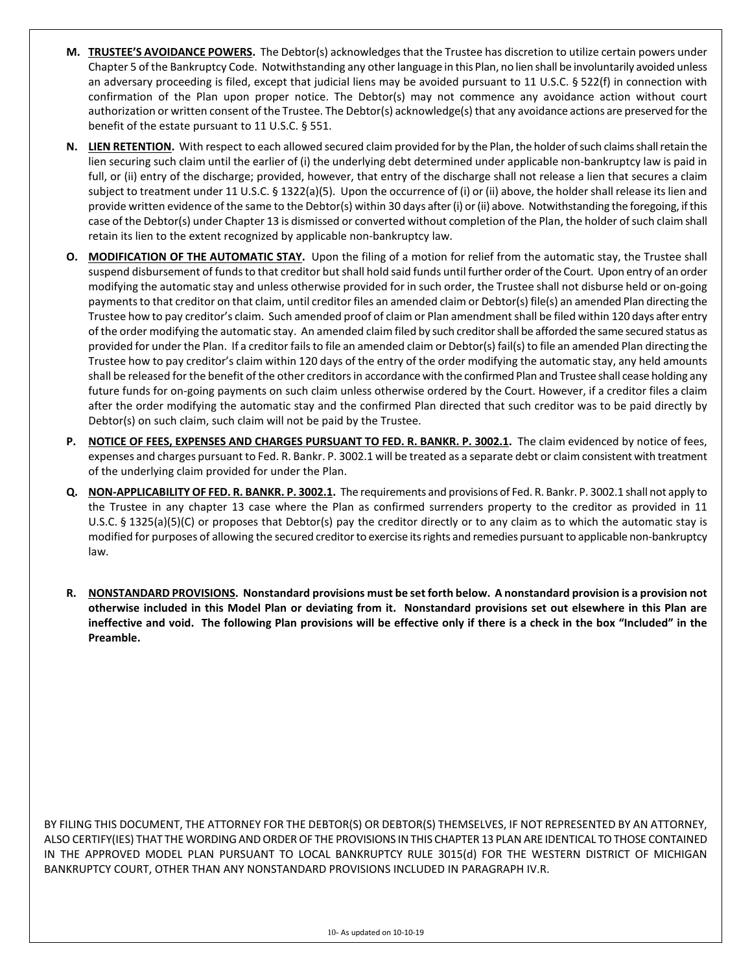- **M. TRUSTEE'S AVOIDANCE POWERS.** The Debtor(s) acknowledges that the Trustee has discretion to utilize certain powers under Chapter 5 of the Bankruptcy Code. Notwithstanding any other language in this Plan, no lien shall be involuntarily avoided unless an adversary proceeding is filed, except that judicial liens may be avoided pursuant to 11 U.S.C. § 522(f) in connection with confirmation of the Plan upon proper notice. The Debtor(s) may not commence any avoidance action without court authorization or written consent of the Trustee. The Debtor(s) acknowledge(s) that any avoidance actions are preserved for the benefit of the estate pursuant to 11 U.S.C. § 551.
- **N. LIEN RETENTION.** With respect to each allowed secured claim provided for by the Plan, the holder of such claims shall retain the lien securing such claim until the earlier of (i) the underlying debt determined under applicable non-bankruptcy law is paid in full, or (ii) entry of the discharge; provided, however, that entry of the discharge shall not release a lien that secures a claim subject to treatment under 11 U.S.C. § 1322(a)(5). Upon the occurrence of (i) or (ii) above, the holder shall release its lien and provide written evidence of the same to the Debtor(s) within 30 days after (i) or (ii) above. Notwithstanding the foregoing, if this case of the Debtor(s) under Chapter 13 is dismissed or converted without completion of the Plan, the holder of such claim shall retain its lien to the extent recognized by applicable non-bankruptcy law.
- **O. MODIFICATION OF THE AUTOMATIC STAY.** Upon the filing of a motion for relief from the automatic stay, the Trustee shall suspend disbursement of funds to that creditor but shall hold said funds until further order of the Court. Upon entry of an order modifying the automatic stay and unless otherwise provided for in such order, the Trustee shall not disburse held or on-going payments to that creditor on that claim, until creditor files an amended claim or Debtor(s) file(s) an amended Plan directing the Trustee how to pay creditor's claim. Such amended proof of claim or Plan amendment shall be filed within 120 days after entry of the order modifying the automatic stay. An amended claim filed by such creditor shall be afforded the same secured status as provided for under the Plan. If a creditor fails to file an amended claim or Debtor(s) fail(s) to file an amended Plan directing the Trustee how to pay creditor's claim within 120 days of the entry of the order modifying the automatic stay, any held amounts shall be released for the benefit of the other creditors in accordance with the confirmed Plan and Trustee shall cease holding any future funds for on-going payments on such claim unless otherwise ordered by the Court. However, if a creditor files a claim after the order modifying the automatic stay and the confirmed Plan directed that such creditor was to be paid directly by Debtor(s) on such claim, such claim will not be paid by the Trustee.
- **P. NOTICE OF FEES, EXPENSES AND CHARGES PURSUANT TO FED. R. BANKR. P. 3002.1.** The claim evidenced by notice of fees, expenses and charges pursuant to Fed. R. Bankr. P. 3002.1 will be treated as a separate debt or claim consistent with treatment of the underlying claim provided for under the Plan.
- **Q. NON-APPLICABILITY OF FED. R. BANKR. P. 3002.1.** The requirements and provisions of Fed. R. Bankr. P. 3002.1 shall not apply to the Trustee in any chapter 13 case where the Plan as confirmed surrenders property to the creditor as provided in 11 U.S.C. § 1325(a)(5)(C) or proposes that Debtor(s) pay the creditor directly or to any claim as to which the automatic stay is modified for purposes of allowing the secured creditor to exercise its rights and remedies pursuant to applicable non-bankruptcy law.
- **R. NONSTANDARD PROVISIONS. Nonstandard provisions must be set forth below. A nonstandard provision is a provision not otherwise included in this Model Plan or deviating from it. Nonstandard provisions set out elsewhere in this Plan are ineffective and void. The following Plan provisions will be effective only if there is a check in the box "Included" in the Preamble.**

BY FILING THIS DOCUMENT, THE ATTORNEY FOR THE DEBTOR(S) OR DEBTOR(S) THEMSELVES, IF NOT REPRESENTED BY AN ATTORNEY, ALSO CERTIFY(IES) THAT THE WORDING AND ORDER OF THE PROVISIONS IN THIS CHAPTER 13 PLAN ARE IDENTICAL TO THOSE CONTAINED IN THE APPROVED MODEL PLAN PURSUANT TO LOCAL BANKRUPTCY RULE 3015(d) FOR THE WESTERN DISTRICT OF MICHIGAN BANKRUPTCY COURT, OTHER THAN ANY NONSTANDARD PROVISIONS INCLUDED IN PARAGRAPH IV.R.